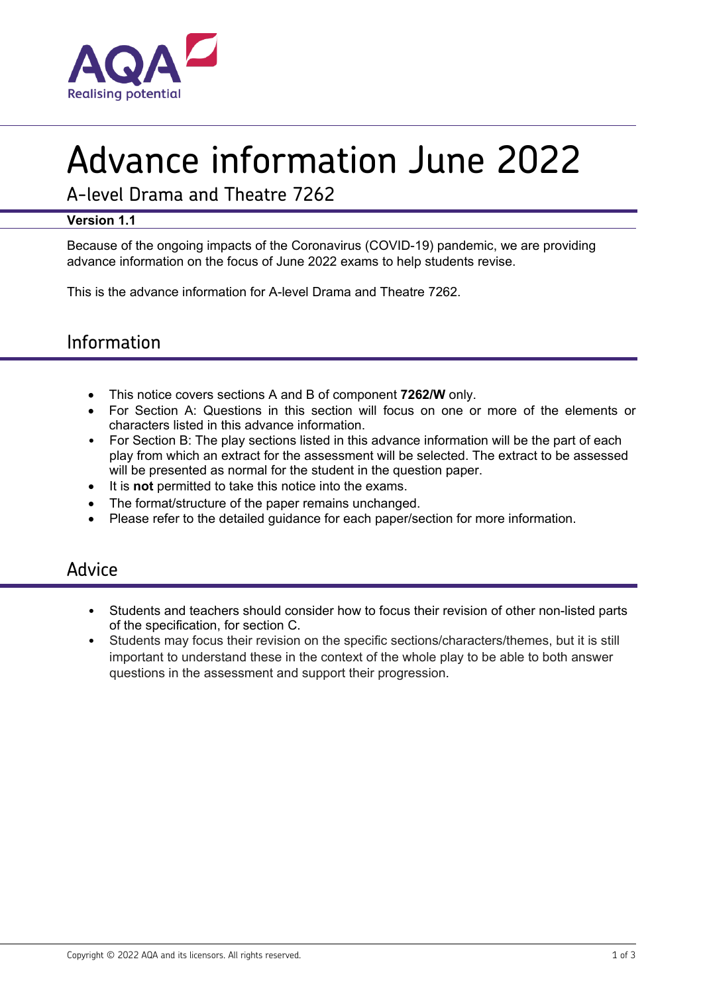

# Advance information June 2022

A-level Drama and Theatre 7262

#### **Version 1.1**

Because of the ongoing impacts of the Coronavirus (COVID-19) pandemic, we are providing advance information on the focus of June 2022 exams to help students revise.

This is the advance information for A-level Drama and Theatre 7262.

## Information

- This notice covers sections A and B of component **7262/W** only.
- For Section A: Questions in this section will focus on one or more of the elements or characters listed in this advance information.
- For Section B: The play sections listed in this advance information will be the part of each play from which an extract for the assessment will be selected. The extract to be assessed will be presented as normal for the student in the question paper.
- It is **not** permitted to take this notice into the exams.
- The format/structure of the paper remains unchanged.
- Please refer to the detailed guidance for each paper/section for more information.

### Advice

- Students and teachers should consider how to focus their revision of other non-listed parts of the specification, for section C.
- Students may focus their revision on the specific sections/characters/themes, but it is still important to understand these in the context of the whole play to be able to both answer questions in the assessment and support their progression.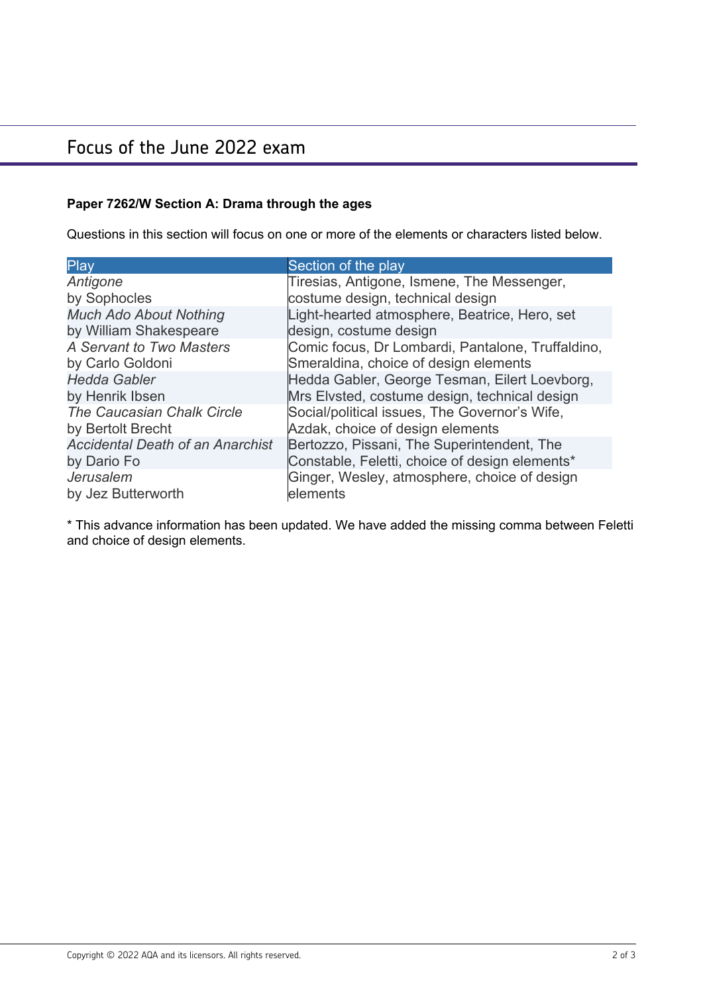# Focus of the June 2022 exam

### **Paper 7262/W Section A: Drama through the ages**

Questions in this section will focus on one or more of the elements or characters listed below.

| Play                                    | Section of the play                               |
|-----------------------------------------|---------------------------------------------------|
| Antigone                                | Tiresias, Antigone, Ismene, The Messenger,        |
| by Sophocles                            | costume design, technical design                  |
| <b>Much Ado About Nothing</b>           | Light-hearted atmosphere, Beatrice, Hero, set     |
| by William Shakespeare                  | design, costume design                            |
| A Servant to Two Masters                | Comic focus, Dr Lombardi, Pantalone, Truffaldino, |
| by Carlo Goldoni                        | Smeraldina, choice of design elements             |
| <b>Hedda Gabler</b>                     | Hedda Gabler, George Tesman, Eilert Loevborg,     |
| by Henrik Ibsen                         | Mrs Elvsted, costume design, technical design     |
| The Caucasian Chalk Circle              | Social/political issues, The Governor's Wife,     |
| by Bertolt Brecht                       | Azdak, choice of design elements                  |
| <b>Accidental Death of an Anarchist</b> | Bertozzo, Pissani, The Superintendent, The        |
| by Dario Fo                             | Constable, Feletti, choice of design elements*    |
| Jerusalem                               | Ginger, Wesley, atmosphere, choice of design      |
| by Jez Butterworth                      | elements                                          |

\* This advance information has been updated. We have added the missing comma between Feletti and choice of design elements.